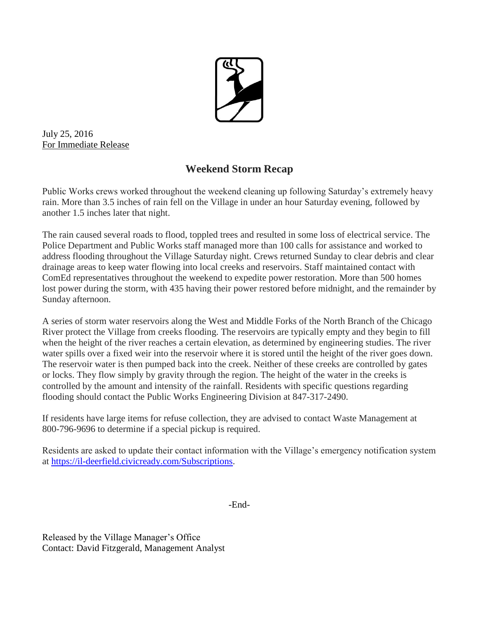

July 25, 2016 For Immediate Release

## **Weekend Storm Recap**

Public Works crews worked throughout the weekend cleaning up following Saturday's extremely heavy rain. More than 3.5 inches of rain fell on the Village in under an hour Saturday evening, followed by another 1.5 inches later that night.

The rain caused several roads to flood, toppled trees and resulted in some loss of electrical service. The Police Department and Public Works staff managed more than 100 calls for assistance and worked to address flooding throughout the Village Saturday night. Crews returned Sunday to clear debris and clear drainage areas to keep water flowing into local creeks and reservoirs. Staff maintained contact with ComEd representatives throughout the weekend to expedite power restoration. More than 500 homes lost power during the storm, with 435 having their power restored before midnight, and the remainder by Sunday afternoon.

A series of storm water reservoirs along the West and Middle Forks of the North Branch of the Chicago River protect the Village from creeks flooding. The reservoirs are typically empty and they begin to fill when the height of the river reaches a certain elevation, as determined by engineering studies. The river water spills over a fixed weir into the reservoir where it is stored until the height of the river goes down. The reservoir water is then pumped back into the creek. Neither of these creeks are controlled by gates or locks. They flow simply by gravity through the region. The height of the water in the creeks is controlled by the amount and intensity of the rainfall. Residents with specific questions regarding flooding should contact the Public Works Engineering Division at 847-317-2490.

If residents have large items for refuse collection, they are advised to contact Waste Management at 800-796-9696 to determine if a special pickup is required.

Residents are asked to update their contact information with the Village's emergency notification system at [https://il-deerfield.civicready.com/Subscriptions.](https://il-deerfield.civicready.com/Subscriptions)

-End-

Released by the Village Manager's Office Contact: David Fitzgerald, Management Analyst